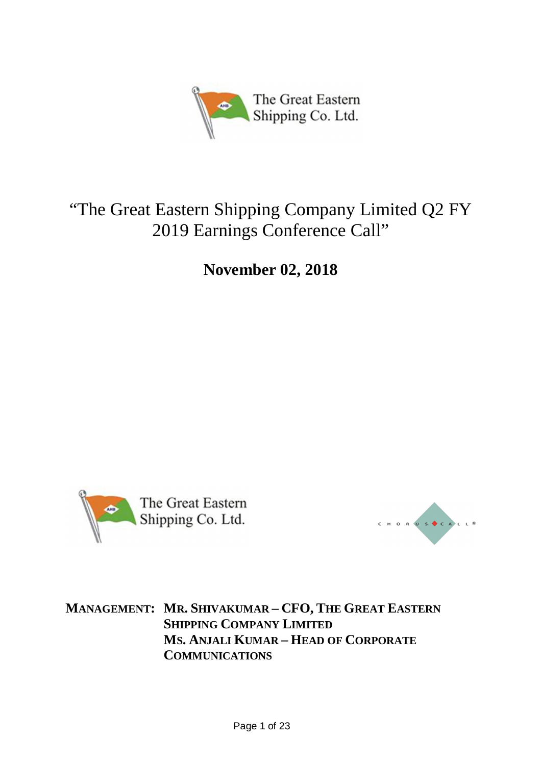

# "The Great Eastern Shipping Company Limited Q2 FY 2019 Earnings Conference Call"

**November 02, 2018**





**MANAGEMENT: MR. SHIVAKUMAR – CFO, THE GREAT EASTERN SHIPPING COMPANY LIMITED MS. ANJALI KUMAR – HEAD OF CORPORATE COMMUNICATIONS**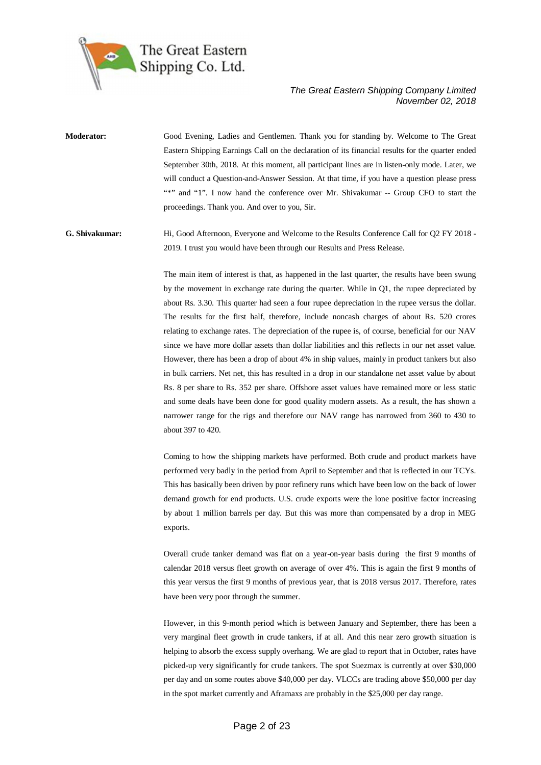

**Moderator:** Good Evening, Ladies and Gentlemen. Thank you for standing by. Welcome to The Great Eastern Shipping Earnings Call on the declaration of its financial results for the quarter ended September 30th, 2018. At this moment, all participant lines are in listen-only mode. Later, we will conduct a Question-and-Answer Session. At that time, if you have a question please press "\*" and "1". I now hand the conference over Mr. Shivakumar -- Group CFO to start the proceedings. Thank you. And over to you, Sir.

**G. Shivakumar:** Hi, Good Afternoon, Everyone and Welcome to the Results Conference Call for Q2 FY 2018 - 2019. I trust you would have been through our Results and Press Release.

> The main item of interest is that, as happened in the last quarter, the results have been swung by the movement in exchange rate during the quarter. While in Q1, the rupee depreciated by about Rs. 3.30. This quarter had seen a four rupee depreciation in the rupee versus the dollar. The results for the first half, therefore, include noncash charges of about Rs. 520 crores relating to exchange rates. The depreciation of the rupee is, of course, beneficial for our NAV since we have more dollar assets than dollar liabilities and this reflects in our net asset value. However, there has been a drop of about 4% in ship values, mainly in product tankers but also in bulk carriers. Net net, this has resulted in a drop in our standalone net asset value by about Rs. 8 per share to Rs. 352 per share. Offshore asset values have remained more or less static and some deals have been done for good quality modern assets. As a result, the has shown a narrower range for the rigs and therefore our NAV range has narrowed from 360 to 430 to about 397 to 420.

> Coming to how the shipping markets have performed. Both crude and product markets have performed very badly in the period from April to September and that is reflected in our TCYs. This has basically been driven by poor refinery runs which have been low on the back of lower demand growth for end products. U.S. crude exports were the lone positive factor increasing by about 1 million barrels per day. But this was more than compensated by a drop in MEG exports.

> Overall crude tanker demand was flat on a year-on-year basis during the first 9 months of calendar 2018 versus fleet growth on average of over 4%. This is again the first 9 months of this year versus the first 9 months of previous year, that is 2018 versus 2017. Therefore, rates have been very poor through the summer.

> However, in this 9-month period which is between January and September, there has been a very marginal fleet growth in crude tankers, if at all. And this near zero growth situation is helping to absorb the excess supply overhang. We are glad to report that in October, rates have picked-up very significantly for crude tankers. The spot Suezmax is currently at over \$30,000 per day and on some routes above \$40,000 per day. VLCCs are trading above \$50,000 per day in the spot market currently and Aframaxs are probably in the \$25,000 per day range.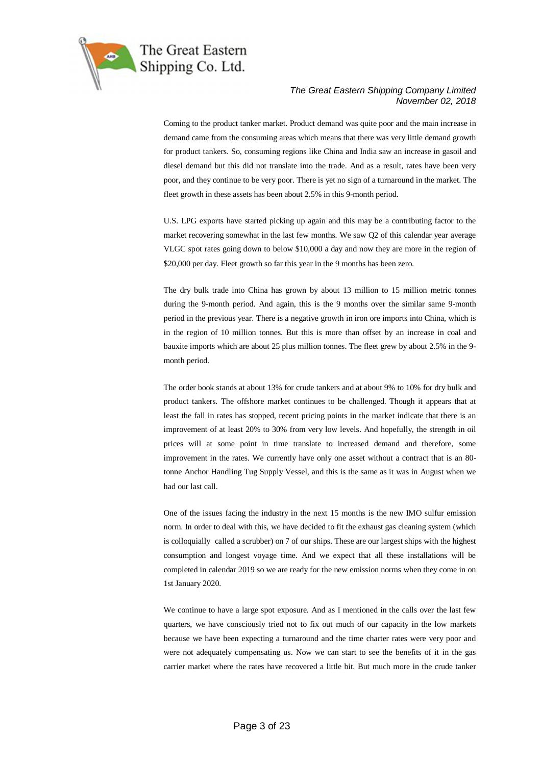

Coming to the product tanker market. Product demand was quite poor and the main increase in demand came from the consuming areas which means that there was very little demand growth for product tankers. So, consuming regions like China and India saw an increase in gasoil and diesel demand but this did not translate into the trade. And as a result, rates have been very poor, and they continue to be very poor. There is yet no sign of a turnaround in the market. The fleet growth in these assets has been about 2.5% in this 9-month period.

U.S. LPG exports have started picking up again and this may be a contributing factor to the market recovering somewhat in the last few months. We saw Q2 of this calendar year average VLGC spot rates going down to below \$10,000 a day and now they are more in the region of \$20,000 per day. Fleet growth so far this year in the 9 months has been zero.

The dry bulk trade into China has grown by about 13 million to 15 million metric tonnes during the 9-month period. And again, this is the 9 months over the similar same 9-month period in the previous year. There is a negative growth in iron ore imports into China, which is in the region of 10 million tonnes. But this is more than offset by an increase in coal and bauxite imports which are about 25 plus million tonnes. The fleet grew by about 2.5% in the 9 month period.

The order book stands at about 13% for crude tankers and at about 9% to 10% for dry bulk and product tankers. The offshore market continues to be challenged. Though it appears that at least the fall in rates has stopped, recent pricing points in the market indicate that there is an improvement of at least 20% to 30% from very low levels. And hopefully, the strength in oil prices will at some point in time translate to increased demand and therefore, some improvement in the rates. We currently have only one asset without a contract that is an 80 tonne Anchor Handling Tug Supply Vessel, and this is the same as it was in August when we had our last call.

One of the issues facing the industry in the next 15 months is the new IMO sulfur emission norm. In order to deal with this, we have decided to fit the exhaust gas cleaning system (which is colloquially called a scrubber) on 7 of our ships. These are our largest ships with the highest consumption and longest voyage time. And we expect that all these installations will be completed in calendar 2019 so we are ready for the new emission norms when they come in on 1st January 2020.

We continue to have a large spot exposure. And as I mentioned in the calls over the last few quarters, we have consciously tried not to fix out much of our capacity in the low markets because we have been expecting a turnaround and the time charter rates were very poor and were not adequately compensating us. Now we can start to see the benefits of it in the gas carrier market where the rates have recovered a little bit. But much more in the crude tanker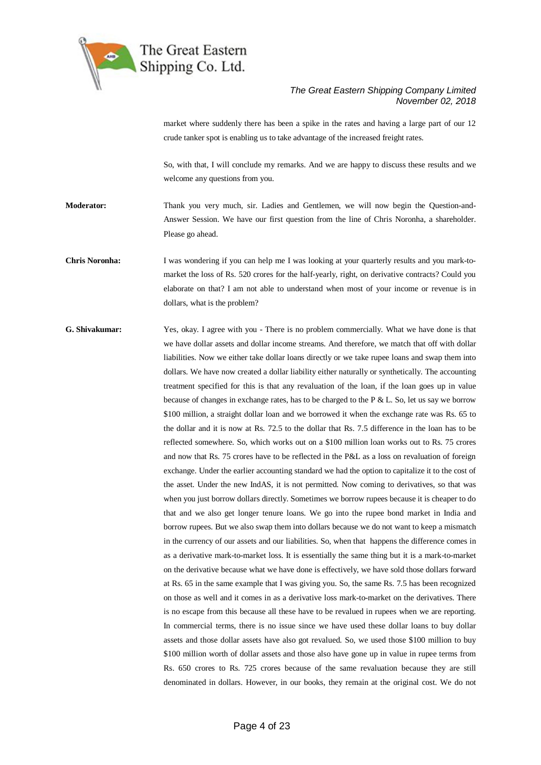

market where suddenly there has been a spike in the rates and having a large part of our 12 crude tanker spot is enabling us to take advantage of the increased freight rates.

So, with that, I will conclude my remarks. And we are happy to discuss these results and we welcome any questions from you.

**Moderator:** Thank you very much, sir. Ladies and Gentlemen, we will now begin the Question-and-Answer Session. We have our first question from the line of Chris Noronha, a shareholder. Please go ahead.

**Chris Noronha:** I was wondering if you can help me I was looking at your quarterly results and you mark-tomarket the loss of Rs. 520 crores for the half-yearly, right, on derivative contracts? Could you elaborate on that? I am not able to understand when most of your income or revenue is in dollars, what is the problem?

**G. Shivakumar:** Yes, okay. I agree with you - There is no problem commercially. What we have done is that we have dollar assets and dollar income streams. And therefore, we match that off with dollar liabilities. Now we either take dollar loans directly or we take rupee loans and swap them into dollars. We have now created a dollar liability either naturally or synthetically. The accounting treatment specified for this is that any revaluation of the loan, if the loan goes up in value because of changes in exchange rates, has to be charged to the P & L. So, let us say we borrow \$100 million, a straight dollar loan and we borrowed it when the exchange rate was Rs. 65 to the dollar and it is now at Rs. 72.5 to the dollar that Rs. 7.5 difference in the loan has to be reflected somewhere. So, which works out on a \$100 million loan works out to Rs. 75 crores and now that Rs. 75 crores have to be reflected in the P&L as a loss on revaluation of foreign exchange. Under the earlier accounting standard we had the option to capitalize it to the cost of the asset. Under the new IndAS, it is not permitted. Now coming to derivatives, so that was when you just borrow dollars directly. Sometimes we borrow rupees because it is cheaper to do that and we also get longer tenure loans. We go into the rupee bond market in India and borrow rupees. But we also swap them into dollars because we do not want to keep a mismatch in the currency of our assets and our liabilities. So, when that happens the difference comes in as a derivative mark-to-market loss. It is essentially the same thing but it is a mark-to-market on the derivative because what we have done is effectively, we have sold those dollars forward at Rs. 65 in the same example that I was giving you. So, the same Rs. 7.5 has been recognized on those as well and it comes in as a derivative loss mark-to-market on the derivatives. There is no escape from this because all these have to be revalued in rupees when we are reporting. In commercial terms, there is no issue since we have used these dollar loans to buy dollar assets and those dollar assets have also got revalued. So, we used those \$100 million to buy \$100 million worth of dollar assets and those also have gone up in value in rupee terms from Rs. 650 crores to Rs. 725 crores because of the same revaluation because they are still denominated in dollars. However, in our books, they remain at the original cost. We do not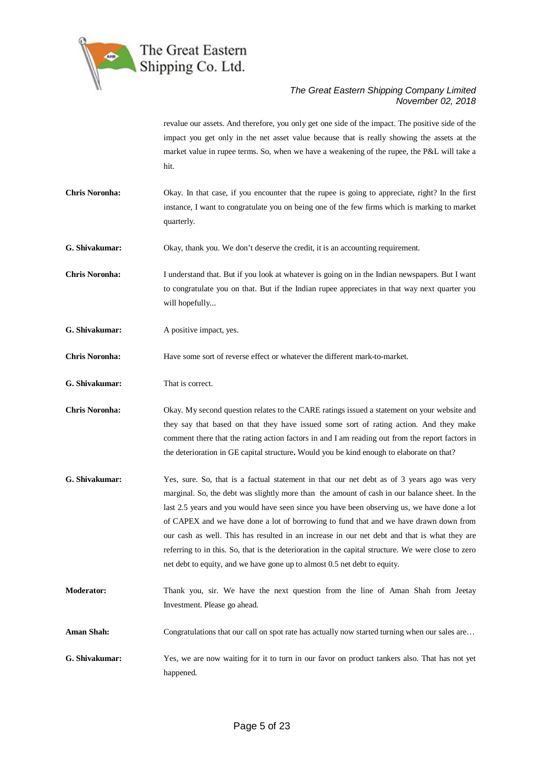

revalue our assets. And therefore, you only get one side of the impact. The positive side of the impact you get only in the net asset value because that is really showing the assets at the market value in rupee terms. So, when we have a weakening of the rupee, the P&L will take a hit.

**Chris Noronha:** Okay. In that case, if you encounter that the rupee is going to appreciate, right? In the first instance, I want to congratulate you on being one of the few firms which is marking to market quarterly.

**G. Shivakumar:** Okay, thank you. We don't deserve the credit, it is an accounting requirement.

**Chris Noronha:** I understand that. But if you look at whatever is going on in the Indian newspapers. But I want to congratulate you on that. But if the Indian rupee appreciates in that way next quarter you will hopefully...

**G. Shivakumar:** A positive impact, yes.

**Chris Noronha:** Have some sort of reverse effect or whatever the different mark-to-market.

**G. Shivakumar:** That is correct.

**Chris Noronha:** Okay. My second question relates to the CARE ratings issued a statement on your website and they say that based on that they have issued some sort of rating action. And they make comment there that the rating action factors in and I am reading out from the report factors in the deterioration in GE capital structure**.** Would you be kind enough to elaborate on that?

- **G. Shivakumar:** Yes, sure. So, that is a factual statement in that our net debt as of 3 years ago was very marginal. So, the debt was slightly more than the amount of cash in our balance sheet. In the last 2.5 years and you would have seen since you have been observing us, we have done a lot of CAPEX and we have done a lot of borrowing to fund that and we have drawn down from our cash as well. This has resulted in an increase in our net debt and that is what they are referring to in this. So, that is the deterioration in the capital structure. We were close to zero net debt to equity, and we have gone up to almost 0.5 net debt to equity.
- **Moderator:** Thank you, sir. We have the next question from the line of Aman Shah from Jeetay Investment. Please go ahead.
- **Aman Shah:** Congratulations that our call on spot rate has actually now started turning when our sales are...
- **G. Shivakumar:** Yes, we are now waiting for it to turn in our favor on product tankers also. That has not yet happened.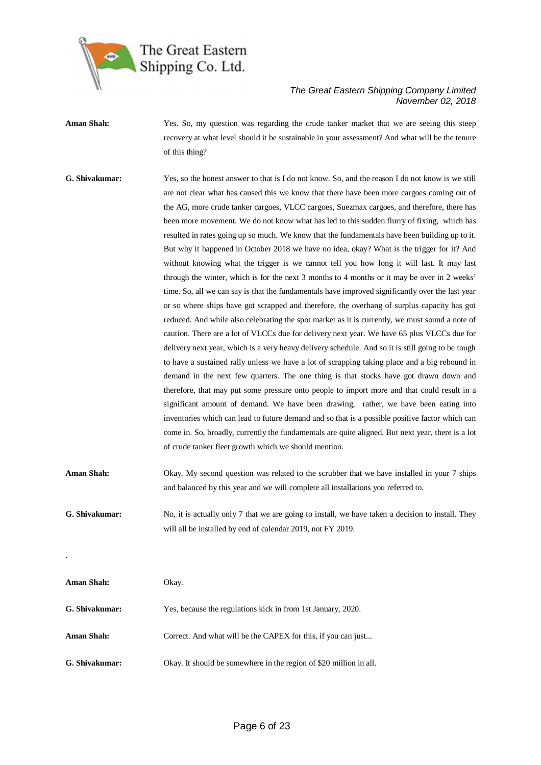

Aman Shah: Yes. So, my question was regarding the crude tanker market that we are seeing this steep recovery at what level should it be sustainable in your assessment? And what will be the tenure of this thing?

**G. Shivakumar:** Yes, so the honest answer to that is I do not know. So, and the reason I do not know is we still are not clear what has caused this we know that there have been more cargoes coming out of the AG, more crude tanker cargoes, VLCC cargoes, Suezmax cargoes, and therefore, there has been more movement. We do not know what has led to this sudden flurry of fixing, which has resulted in rates going up so much. We know that the fundamentals have been building up to it. But why it happened in October 2018 we have no idea, okay? What is the trigger for it? And without knowing what the trigger is we cannot tell you how long it will last. It may last through the winter, which is for the next 3 months to 4 months or it may be over in 2 weeks' time. So, all we can say is that the fundamentals have improved significantly over the last year or so where ships have got scrapped and therefore, the overhang of surplus capacity has got reduced. And while also celebrating the spot market as it is currently, we must sound a note of caution. There are a lot of VLCCs due for delivery next year. We have 65 plus VLCCs due for delivery next year, which is a very heavy delivery schedule. And so it is still going to be tough to have a sustained rally unless we have a lot of scrapping taking place and a big rebound in demand in the next few quarters. The one thing is that stocks have got drawn down and therefore, that may put some pressure onto people to import more and that could result in a significant amount of demand. We have been drawing, rather, we have been eating into inventories which can lead to future demand and so that is a possible positive factor which can come in. So, broadly, currently the fundamentals are quite aligned. But next year, there is a lot of crude tanker fleet growth which we should mention.

**Aman Shah:** Okay. My second question was related to the scrubber that we have installed in your 7 ships and balanced by this year and we will complete all installations you referred to.

**G. Shivakumar:** No, it is actually only 7 that we are going to install, we have taken a decision to install. They will all be installed by end of calendar 2019, not FY 2019.

| <b>Aman Shah:</b> | Okay.                                                              |
|-------------------|--------------------------------------------------------------------|
| G. Shivakumar:    | Yes, because the regulations kick in from 1st January, 2020.       |
| <b>Aman Shah:</b> | Correct. And what will be the CAPEX for this, if you can just      |
| G. Shivakumar:    | Okay. It should be somewhere in the region of \$20 million in all. |

.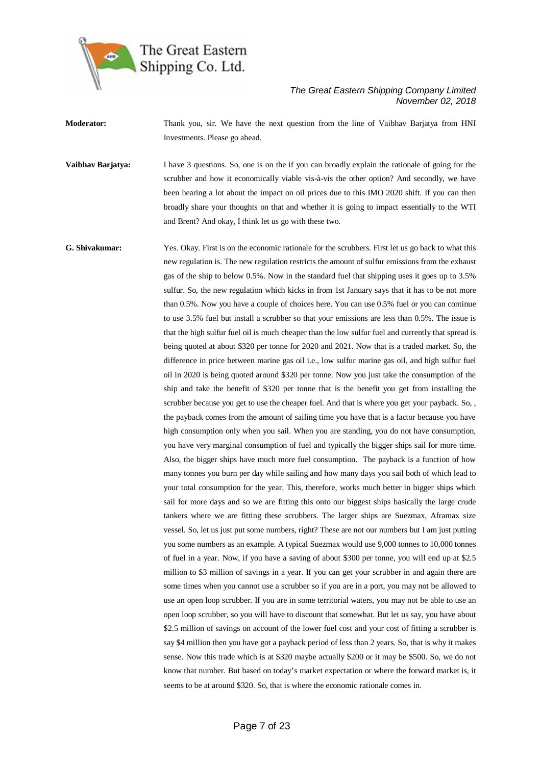

**Moderator:** Thank you, sir. We have the next question from the line of Vaibhav Barjatya from HNI Investments. Please go ahead.

**Vaibhav Barjatya:** I have 3 questions. So, one is on the if you can broadly explain the rationale of going for the scrubber and how it economically viable vis-à-vis the other option? And secondly, we have been hearing a lot about the impact on oil prices due to this IMO 2020 shift. If you can then broadly share your thoughts on that and whether it is going to impact essentially to the WTI and Brent? And okay, I think let us go with these two.

**G. Shivakumar:** Yes. Okay. First is on the economic rationale for the scrubbers. First let us go back to what this new regulation is. The new regulation restricts the amount of sulfur emissions from the exhaust gas of the ship to below 0.5%. Now in the standard fuel that shipping uses it goes up to 3.5% sulfur. So, the new regulation which kicks in from 1st January says that it has to be not more than 0.5%. Now you have a couple of choices here. You can use 0.5% fuel or you can continue to use 3.5% fuel but install a scrubber so that your emissions are less than 0.5%. The issue is that the high sulfur fuel oil is much cheaper than the low sulfur fuel and currently that spread is being quoted at about \$320 per tonne for 2020 and 2021. Now that is a traded market. So, the difference in price between marine gas oil i.e., low sulfur marine gas oil, and high sulfur fuel oil in 2020 is being quoted around \$320 per tonne. Now you just take the consumption of the ship and take the benefit of \$320 per tonne that is the benefit you get from installing the scrubber because you get to use the cheaper fuel. And that is where you get your payback. So, , the payback comes from the amount of sailing time you have that is a factor because you have high consumption only when you sail. When you are standing, you do not have consumption, you have very marginal consumption of fuel and typically the bigger ships sail for more time. Also, the bigger ships have much more fuel consumption. The payback is a function of how many tonnes you burn per day while sailing and how many days you sail both of which lead to your total consumption for the year. This, therefore, works much better in bigger ships which sail for more days and so we are fitting this onto our biggest ships basically the large crude tankers where we are fitting these scrubbers. The larger ships are Suezmax, Aframax size vessel. So, let us just put some numbers, right? These are not our numbers but I am just putting you some numbers as an example. A typical Suezmax would use 9,000 tonnes to 10,000 tonnes of fuel in a year. Now, if you have a saving of about \$300 per tonne, you will end up at \$2.5 million to \$3 million of savings in a year. If you can get your scrubber in and again there are some times when you cannot use a scrubber so if you are in a port, you may not be allowed to use an open loop scrubber. If you are in some territorial waters, you may not be able to use an open loop scrubber, so you will have to discount that somewhat. But let us say, you have about \$2.5 million of savings on account of the lower fuel cost and your cost of fitting a scrubber is say \$4 million then you have got a payback period of less than 2 years. So, that is why it makes sense. Now this trade which is at \$320 maybe actually \$200 or it may be \$500. So, we do not know that number. But based on today's market expectation or where the forward market is, it seems to be at around \$320. So, that is where the economic rationale comes in.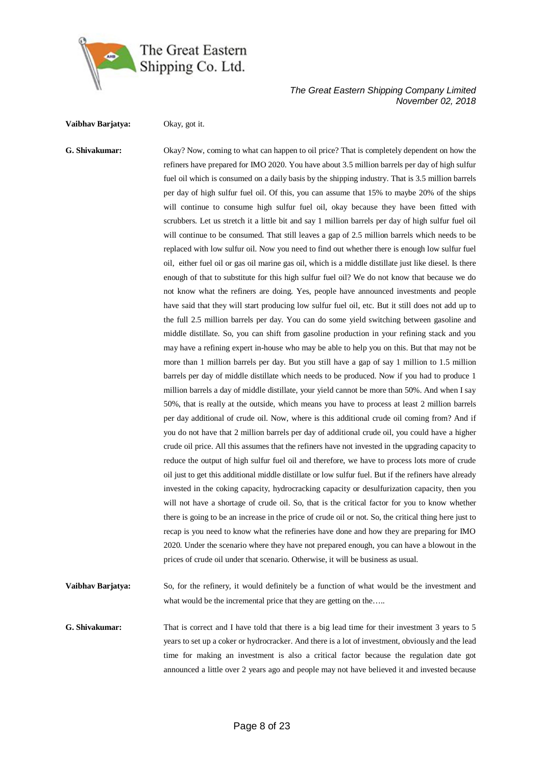

**Vaibhav Barjatya:** Okay, got it.

**G. Shivakumar:** Okay? Now, coming to what can happen to oil price? That is completely dependent on how the refiners have prepared for IMO 2020. You have about 3.5 million barrels per day of high sulfur fuel oil which is consumed on a daily basis by the shipping industry. That is 3.5 million barrels per day of high sulfur fuel oil. Of this, you can assume that 15% to maybe 20% of the ships will continue to consume high sulfur fuel oil, okay because they have been fitted with scrubbers. Let us stretch it a little bit and say 1 million barrels per day of high sulfur fuel oil will continue to be consumed. That still leaves a gap of 2.5 million barrels which needs to be replaced with low sulfur oil. Now you need to find out whether there is enough low sulfur fuel oil, either fuel oil or gas oil marine gas oil, which is a middle distillate just like diesel. Is there enough of that to substitute for this high sulfur fuel oil? We do not know that because we do not know what the refiners are doing. Yes, people have announced investments and people have said that they will start producing low sulfur fuel oil, etc. But it still does not add up to the full 2.5 million barrels per day. You can do some yield switching between gasoline and middle distillate. So, you can shift from gasoline production in your refining stack and you may have a refining expert in-house who may be able to help you on this. But that may not be more than 1 million barrels per day. But you still have a gap of say 1 million to 1.5 million barrels per day of middle distillate which needs to be produced. Now if you had to produce 1 million barrels a day of middle distillate, your yield cannot be more than 50%. And when I say 50%, that is really at the outside, which means you have to process at least 2 million barrels per day additional of crude oil. Now, where is this additional crude oil coming from? And if you do not have that 2 million barrels per day of additional crude oil, you could have a higher crude oil price. All this assumes that the refiners have not invested in the upgrading capacity to reduce the output of high sulfur fuel oil and therefore, we have to process lots more of crude oil just to get this additional middle distillate or low sulfur fuel. But if the refiners have already invested in the coking capacity, hydrocracking capacity or desulfurization capacity, then you will not have a shortage of crude oil. So, that is the critical factor for you to know whether there is going to be an increase in the price of crude oil or not. So, the critical thing here just to recap is you need to know what the refineries have done and how they are preparing for IMO 2020. Under the scenario where they have not prepared enough, you can have a blowout in the prices of crude oil under that scenario. Otherwise, it will be business as usual.

**Vaibhav Barjatya:** So, for the refinery, it would definitely be a function of what would be the investment and what would be the incremental price that they are getting on the.....

**G. Shivakumar:** That is correct and I have told that there is a big lead time for their investment 3 years to 5 years to set up a coker or hydrocracker. And there is a lot of investment, obviously and the lead time for making an investment is also a critical factor because the regulation date got announced a little over 2 years ago and people may not have believed it and invested because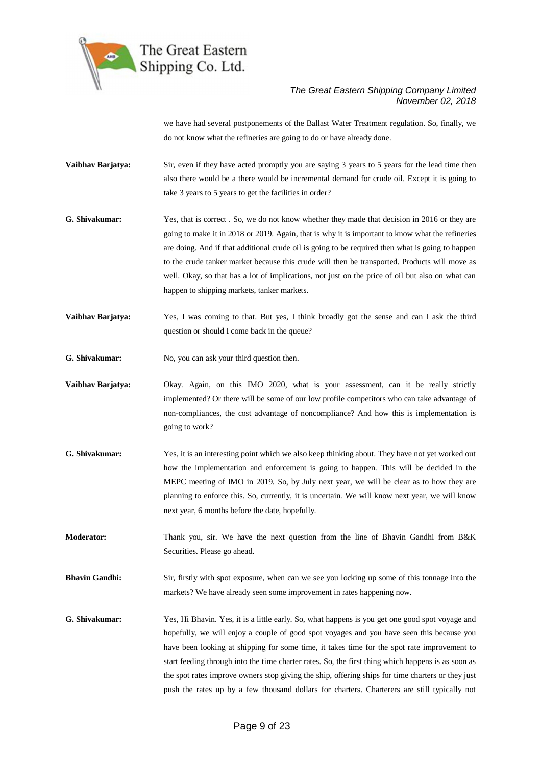

we have had several postponements of the Ballast Water Treatment regulation. So, finally, we do not know what the refineries are going to do or have already done.

- **Vaibhav Barjatya:** Sir, even if they have acted promptly you are saying 3 years to 5 years for the lead time then also there would be a there would be incremental demand for crude oil. Except it is going to take 3 years to 5 years to get the facilities in order?
- **G. Shivakumar:** Yes, that is correct . So, we do not know whether they made that decision in 2016 or they are going to make it in 2018 or 2019. Again, that is why it is important to know what the refineries are doing. And if that additional crude oil is going to be required then what is going to happen to the crude tanker market because this crude will then be transported. Products will move as well. Okay, so that has a lot of implications, not just on the price of oil but also on what can happen to shipping markets, tanker markets.
- **Vaibhav Barjatya:** Yes, I was coming to that. But yes, I think broadly got the sense and can I ask the third question or should I come back in the queue?
- **G. Shivakumar:** No, you can ask your third question then.
- **Vaibhav Barjatya:** Okay. Again, on this IMO 2020, what is your assessment, can it be really strictly implemented? Or there will be some of our low profile competitors who can take advantage of non-compliances, the cost advantage of noncompliance? And how this is implementation is going to work?
- **G. Shivakumar:** Yes, it is an interesting point which we also keep thinking about. They have not yet worked out how the implementation and enforcement is going to happen. This will be decided in the MEPC meeting of IMO in 2019. So, by July next year, we will be clear as to how they are planning to enforce this. So, currently, it is uncertain. We will know next year, we will know next year, 6 months before the date, hopefully.
- **Moderator:** Thank you, sir. We have the next question from the line of Bhavin Gandhi from B&K Securities. Please go ahead.
- **Bhavin Gandhi:** Sir, firstly with spot exposure, when can we see you locking up some of this tonnage into the markets? We have already seen some improvement in rates happening now.
- **G. Shivakumar:** Yes, Hi Bhavin. Yes, it is a little early. So, what happens is you get one good spot voyage and hopefully, we will enjoy a couple of good spot voyages and you have seen this because you have been looking at shipping for some time, it takes time for the spot rate improvement to start feeding through into the time charter rates. So, the first thing which happens is as soon as the spot rates improve owners stop giving the ship, offering ships for time charters or they just push the rates up by a few thousand dollars for charters. Charterers are still typically not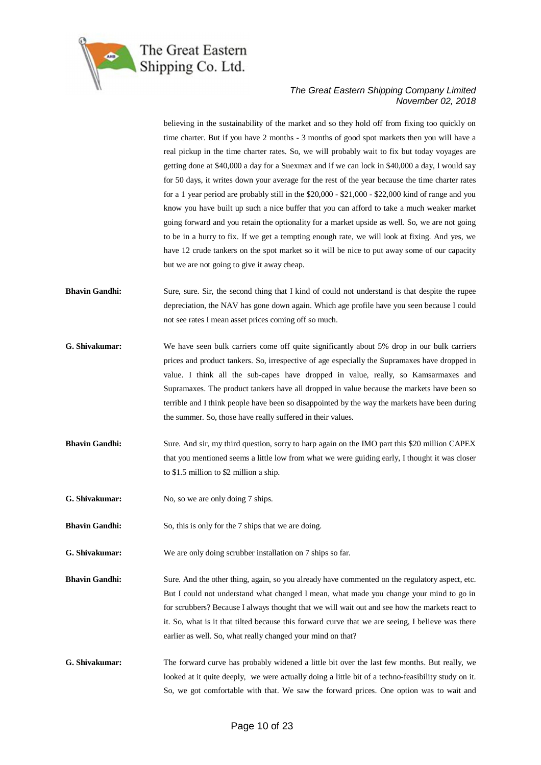

believing in the sustainability of the market and so they hold off from fixing too quickly on time charter. But if you have 2 months - 3 months of good spot markets then you will have a real pickup in the time charter rates. So, we will probably wait to fix but today voyages are getting done at \$40,000 a day for a Suexmax and if we can lock in \$40,000 a day, I would say for 50 days, it writes down your average for the rest of the year because the time charter rates for a 1 year period are probably still in the \$20,000 - \$21,000 - \$22,000 kind of range and you know you have built up such a nice buffer that you can afford to take a much weaker market going forward and you retain the optionality for a market upside as well. So, we are not going to be in a hurry to fix. If we get a tempting enough rate, we will look at fixing. And yes, we have 12 crude tankers on the spot market so it will be nice to put away some of our capacity but we are not going to give it away cheap.

- **Bhavin Gandhi:** Sure, sure. Sir, the second thing that I kind of could not understand is that despite the rupee depreciation, the NAV has gone down again. Which age profile have you seen because I could not see rates I mean asset prices coming off so much.
- **G. Shivakumar:** We have seen bulk carriers come off quite significantly about 5% drop in our bulk carriers prices and product tankers. So, irrespective of age especially the Supramaxes have dropped in value. I think all the sub-capes have dropped in value, really, so Kamsarmaxes and Supramaxes. The product tankers have all dropped in value because the markets have been so terrible and I think people have been so disappointed by the way the markets have been during the summer. So, those have really suffered in their values.
- **Bhavin Gandhi:** Sure. And sir, my third question, sorry to harp again on the IMO part this \$20 million CAPEX that you mentioned seems a little low from what we were guiding early, I thought it was closer to \$1.5 million to \$2 million a ship.
- **G. Shivakumar:** No, so we are only doing 7 ships.
- **Bhavin Gandhi:** So, this is only for the 7 ships that we are doing.
- **G. Shivakumar:** We are only doing scrubber installation on 7 ships so far.
- **Bhavin Gandhi:** Sure. And the other thing, again, so you already have commented on the regulatory aspect, etc. But I could not understand what changed I mean, what made you change your mind to go in for scrubbers? Because I always thought that we will wait out and see how the markets react to it. So, what is it that tilted because this forward curve that we are seeing, I believe was there earlier as well. So, what really changed your mind on that?
- **G. Shivakumar:** The forward curve has probably widened a little bit over the last few months. But really, we looked at it quite deeply, we were actually doing a little bit of a techno-feasibility study on it. So, we got comfortable with that. We saw the forward prices. One option was to wait and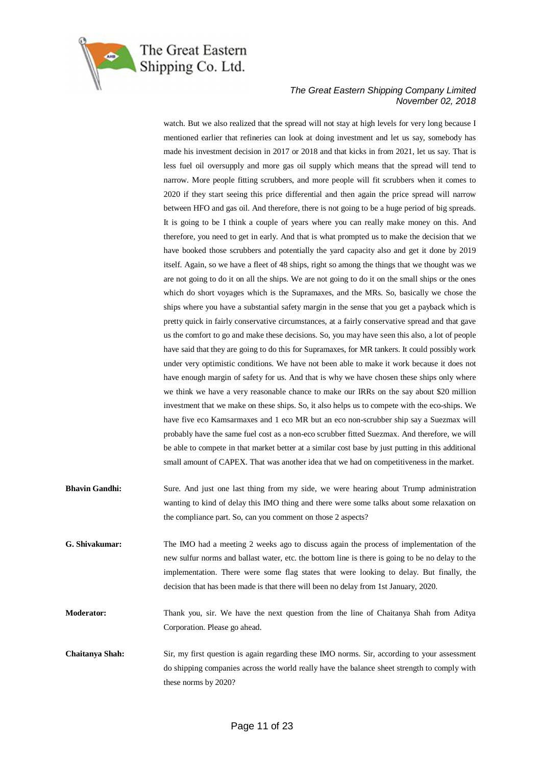

watch. But we also realized that the spread will not stay at high levels for very long because I mentioned earlier that refineries can look at doing investment and let us say, somebody has made his investment decision in 2017 or 2018 and that kicks in from 2021, let us say. That is less fuel oil oversupply and more gas oil supply which means that the spread will tend to narrow. More people fitting scrubbers, and more people will fit scrubbers when it comes to 2020 if they start seeing this price differential and then again the price spread will narrow between HFO and gas oil. And therefore, there is not going to be a huge period of big spreads. It is going to be I think a couple of years where you can really make money on this. And therefore, you need to get in early. And that is what prompted us to make the decision that we have booked those scrubbers and potentially the yard capacity also and get it done by 2019 itself. Again, so we have a fleet of 48 ships, right so among the things that we thought was we are not going to do it on all the ships. We are not going to do it on the small ships or the ones which do short voyages which is the Supramaxes, and the MRs. So, basically we chose the ships where you have a substantial safety margin in the sense that you get a payback which is pretty quick in fairly conservative circumstances, at a fairly conservative spread and that gave us the comfort to go and make these decisions. So, you may have seen this also, a lot of people have said that they are going to do this for Supramaxes, for MR tankers. It could possibly work under very optimistic conditions. We have not been able to make it work because it does not have enough margin of safety for us. And that is why we have chosen these ships only where we think we have a very reasonable chance to make our IRRs on the say about \$20 million investment that we make on these ships. So, it also helps us to compete with the eco-ships. We have five eco Kamsarmaxes and 1 eco MR but an eco non-scrubber ship say a Suezmax will probably have the same fuel cost as a non-eco scrubber fitted Suezmax. And therefore, we will be able to compete in that market better at a similar cost base by just putting in this additional small amount of CAPEX. That was another idea that we had on competitiveness in the market.

- **Bhavin Gandhi:** Sure. And just one last thing from my side, we were hearing about Trump administration wanting to kind of delay this IMO thing and there were some talks about some relaxation on the compliance part. So, can you comment on those 2 aspects?
- **G. Shivakumar:** The IMO had a meeting 2 weeks ago to discuss again the process of implementation of the new sulfur norms and ballast water, etc. the bottom line is there is going to be no delay to the implementation. There were some flag states that were looking to delay. But finally, the decision that has been made is that there will been no delay from 1st January, 2020.

**Moderator:** Thank you, sir. We have the next question from the line of Chaitanya Shah from Aditya Corporation. Please go ahead.

**Chaitanya Shah:** Sir, my first question is again regarding these IMO norms. Sir, according to your assessment do shipping companies across the world really have the balance sheet strength to comply with these norms by 2020?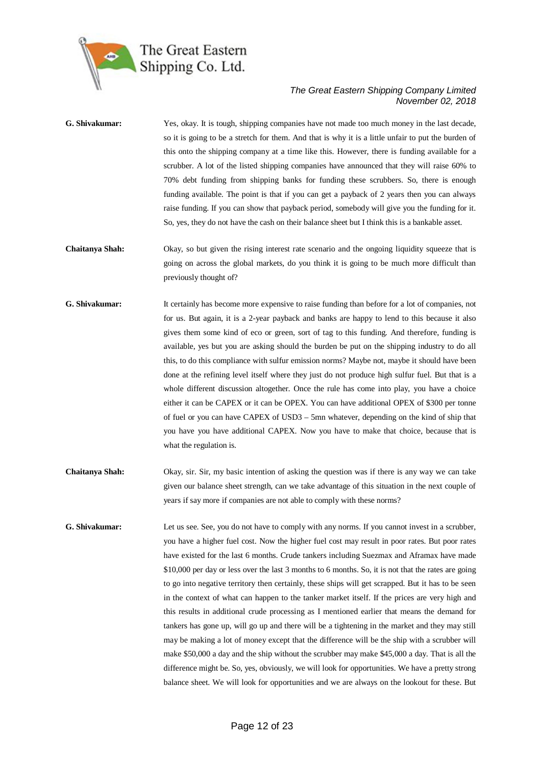

| G. Shivakumar:  | Yes, okay. It is tough, shipping companies have not made too much money in the last decade,<br>so it is going to be a stretch for them. And that is why it is a little unfair to put the burden of<br>this onto the shipping company at a time like this. However, there is funding available for a<br>scrubber. A lot of the listed shipping companies have announced that they will raise 60% to<br>70% debt funding from shipping banks for funding these scrubbers. So, there is enough<br>funding available. The point is that if you can get a payback of 2 years then you can always<br>raise funding. If you can show that payback period, somebody will give you the funding for it.<br>So, yes, they do not have the cash on their balance sheet but I think this is a bankable asset.                                                                                                                                                                                                                 |
|-----------------|------------------------------------------------------------------------------------------------------------------------------------------------------------------------------------------------------------------------------------------------------------------------------------------------------------------------------------------------------------------------------------------------------------------------------------------------------------------------------------------------------------------------------------------------------------------------------------------------------------------------------------------------------------------------------------------------------------------------------------------------------------------------------------------------------------------------------------------------------------------------------------------------------------------------------------------------------------------------------------------------------------------|
| Chaitanya Shah: | Okay, so but given the rising interest rate scenario and the ongoing liquidity squeeze that is<br>going on across the global markets, do you think it is going to be much more difficult than<br>previously thought of?                                                                                                                                                                                                                                                                                                                                                                                                                                                                                                                                                                                                                                                                                                                                                                                          |
| G. Shivakumar:  | It certainly has become more expensive to raise funding than before for a lot of companies, not<br>for us. But again, it is a 2-year payback and banks are happy to lend to this because it also<br>gives them some kind of eco or green, sort of tag to this funding. And therefore, funding is<br>available, yes but you are asking should the burden be put on the shipping industry to do all<br>this, to do this compliance with sulfur emission norms? Maybe not, maybe it should have been<br>done at the refining level itself where they just do not produce high sulfur fuel. But that is a<br>whole different discussion altogether. Once the rule has come into play, you have a choice<br>either it can be CAPEX or it can be OPEX. You can have additional OPEX of \$300 per tonne<br>of fuel or you can have CAPEX of USD3 - 5mn whatever, depending on the kind of ship that<br>you have you have additional CAPEX. Now you have to make that choice, because that is<br>what the regulation is. |
| Chaitanya Shah: | Okay, sir. Sir, my basic intention of asking the question was if there is any way we can take<br>given our balance sheet strength, can we take advantage of this situation in the next couple of<br>years if say more if companies are not able to comply with these norms?                                                                                                                                                                                                                                                                                                                                                                                                                                                                                                                                                                                                                                                                                                                                      |
| $C$ Shivakumar: | Let us see See you do not have to comply with any norms. If you cannot invest in a scrubber                                                                                                                                                                                                                                                                                                                                                                                                                                                                                                                                                                                                                                                                                                                                                                                                                                                                                                                      |

**G. Shivakumar:** Let us see. See, you do not have to comply with any norms. If you cannot invest in a scrubber, you have a higher fuel cost. Now the higher fuel cost may result in poor rates. But poor rates have existed for the last 6 months. Crude tankers including Suezmax and Aframax have made \$10,000 per day or less over the last 3 months to 6 months. So, it is not that the rates are going to go into negative territory then certainly, these ships will get scrapped. But it has to be seen in the context of what can happen to the tanker market itself. If the prices are very high and this results in additional crude processing as I mentioned earlier that means the demand for tankers has gone up, will go up and there will be a tightening in the market and they may still may be making a lot of money except that the difference will be the ship with a scrubber will make \$50,000 a day and the ship without the scrubber may make \$45,000 a day. That is all the difference might be. So, yes, obviously, we will look for opportunities. We have a pretty strong balance sheet. We will look for opportunities and we are always on the lookout for these. But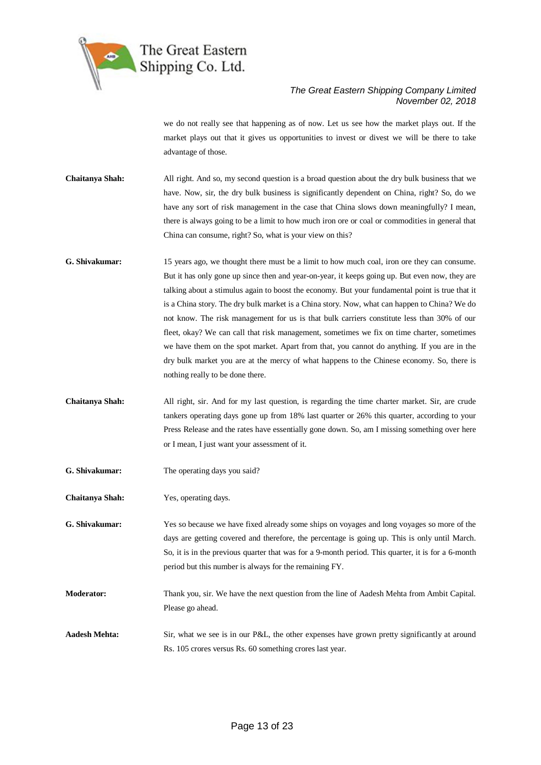

we do not really see that happening as of now. Let us see how the market plays out. If the market plays out that it gives us opportunities to invest or divest we will be there to take advantage of those.

**Chaitanya Shah:** All right. And so, my second question is a broad question about the dry bulk business that we have. Now, sir, the dry bulk business is significantly dependent on China, right? So, do we have any sort of risk management in the case that China slows down meaningfully? I mean, there is always going to be a limit to how much iron ore or coal or commodities in general that China can consume, right? So, what is your view on this?

- **G. Shivakumar:** 15 years ago, we thought there must be a limit to how much coal, iron ore they can consume. But it has only gone up since then and year-on-year, it keeps going up. But even now, they are talking about a stimulus again to boost the economy. But your fundamental point is true that it is a China story. The dry bulk market is a China story. Now, what can happen to China? We do not know. The risk management for us is that bulk carriers constitute less than 30% of our fleet, okay? We can call that risk management, sometimes we fix on time charter, sometimes we have them on the spot market. Apart from that, you cannot do anything. If you are in the dry bulk market you are at the mercy of what happens to the Chinese economy. So, there is nothing really to be done there.
- **Chaitanya Shah:** All right, sir. And for my last question, is regarding the time charter market. Sir, are crude tankers operating days gone up from 18% last quarter or 26% this quarter, according to your Press Release and the rates have essentially gone down. So, am I missing something over here or I mean, I just want your assessment of it.
- **G. Shivakumar:** The operating days you said?
- **Chaitanya Shah:** Yes, operating days.

**G. Shivakumar:** Yes so because we have fixed already some ships on voyages and long voyages so more of the days are getting covered and therefore, the percentage is going up. This is only until March. So, it is in the previous quarter that was for a 9-month period. This quarter, it is for a 6-month period but this number is always for the remaining FY.

- **Moderator:** Thank you, sir. We have the next question from the line of Aadesh Mehta from Ambit Capital. Please go ahead.
- **Aadesh Mehta:** Sir, what we see is in our P&L, the other expenses have grown pretty significantly at around Rs. 105 crores versus Rs. 60 something crores last year.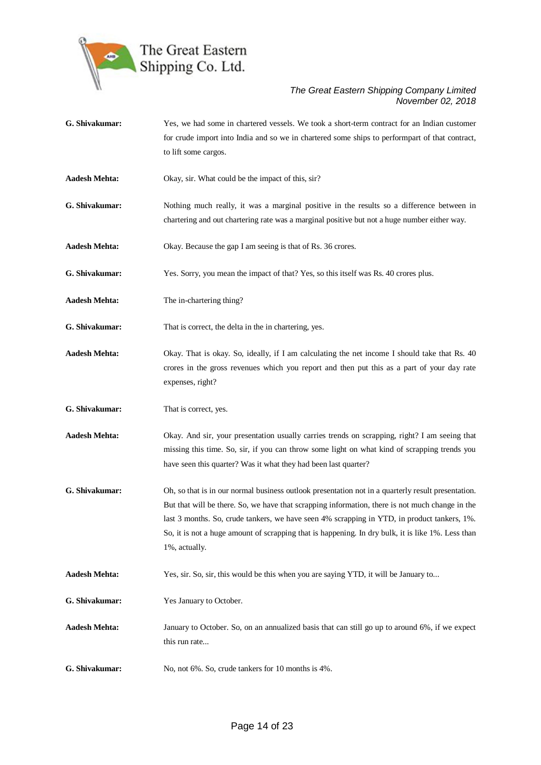

- **G. Shivakumar:** Yes, we had some in chartered vessels. We took a short-term contract for an Indian customer for crude import into India and so we in chartered some ships to performpart of that contract, to lift some cargos.
- **Aadesh Mehta:** Okay, sir. What could be the impact of this, sir?
- **G. Shivakumar:** Nothing much really, it was a marginal positive in the results so a difference between in chartering and out chartering rate was a marginal positive but not a huge number either way.
- **Aadesh Mehta:** Okay. Because the gap I am seeing is that of Rs. 36 crores.
- **G. Shivakumar:** Yes. Sorry, you mean the impact of that? Yes, so this itself was Rs. 40 crores plus.
- **Aadesh Mehta:** The in-chartering thing?
- **G. Shivakumar:** That is correct, the delta in the in chartering, yes.
- **Aadesh Mehta:** Okay. That is okay. So, ideally, if I am calculating the net income I should take that Rs. 40 crores in the gross revenues which you report and then put this as a part of your day rate expenses, right?
- **G. Shivakumar:** That is correct, yes.
- **Aadesh Mehta:** Okay. And sir, your presentation usually carries trends on scrapping, right? I am seeing that missing this time. So, sir, if you can throw some light on what kind of scrapping trends you have seen this quarter? Was it what they had been last quarter?
- **G. Shivakumar:** Oh, so that is in our normal business outlook presentation not in a quarterly result presentation. But that will be there. So, we have that scrapping information, there is not much change in the last 3 months. So, crude tankers, we have seen 4% scrapping in YTD, in product tankers, 1%. So, it is not a huge amount of scrapping that is happening. In dry bulk, it is like 1%. Less than 1%, actually.
- **Aadesh Mehta:** Yes, sir. So, sir, this would be this when you are saying YTD, it will be January to...
- **G. Shivakumar:** Yes January to October.
- **Aadesh Mehta:** January to October. So, on an annualized basis that can still go up to around 6%, if we expect this run rate...
- **G. Shivakumar:** No, not 6%. So, crude tankers for 10 months is 4%.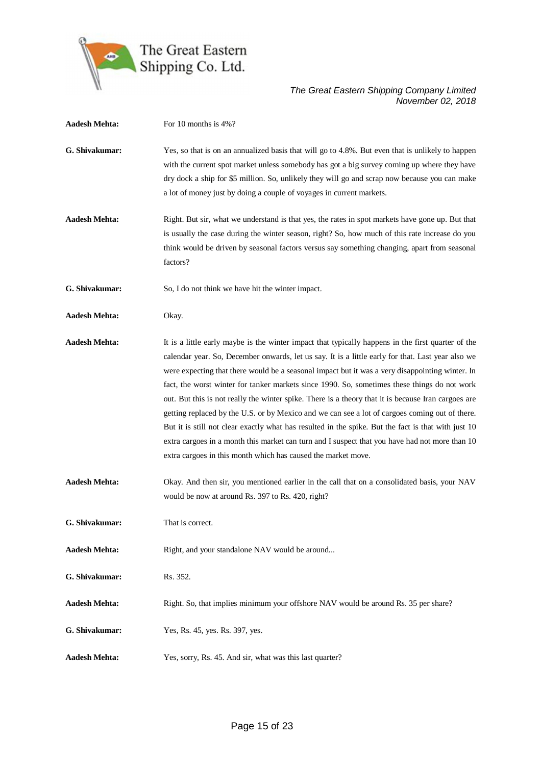

| <b>Aadesh Mehta:</b> | For 10 months is 4%?                                                                                                                                                                                                                                                                                                                                                                                                                                                                                                                                                                                                                                                                                                                                                                                                                                                                          |
|----------------------|-----------------------------------------------------------------------------------------------------------------------------------------------------------------------------------------------------------------------------------------------------------------------------------------------------------------------------------------------------------------------------------------------------------------------------------------------------------------------------------------------------------------------------------------------------------------------------------------------------------------------------------------------------------------------------------------------------------------------------------------------------------------------------------------------------------------------------------------------------------------------------------------------|
| G. Shivakumar:       | Yes, so that is on an annualized basis that will go to 4.8%. But even that is unlikely to happen<br>with the current spot market unless somebody has got a big survey coming up where they have<br>dry dock a ship for \$5 million. So, unlikely they will go and scrap now because you can make<br>a lot of money just by doing a couple of voyages in current markets.                                                                                                                                                                                                                                                                                                                                                                                                                                                                                                                      |
| <b>Aadesh Mehta:</b> | Right. But sir, what we understand is that yes, the rates in spot markets have gone up. But that<br>is usually the case during the winter season, right? So, how much of this rate increase do you<br>think would be driven by seasonal factors versus say something changing, apart from seasonal<br>factors?                                                                                                                                                                                                                                                                                                                                                                                                                                                                                                                                                                                |
| G. Shivakumar:       | So, I do not think we have hit the winter impact.                                                                                                                                                                                                                                                                                                                                                                                                                                                                                                                                                                                                                                                                                                                                                                                                                                             |
| <b>Aadesh Mehta:</b> | Okay.                                                                                                                                                                                                                                                                                                                                                                                                                                                                                                                                                                                                                                                                                                                                                                                                                                                                                         |
| <b>Aadesh Mehta:</b> | It is a little early maybe is the winter impact that typically happens in the first quarter of the<br>calendar year. So, December onwards, let us say. It is a little early for that. Last year also we<br>were expecting that there would be a seasonal impact but it was a very disappointing winter. In<br>fact, the worst winter for tanker markets since 1990. So, sometimes these things do not work<br>out. But this is not really the winter spike. There is a theory that it is because Iran cargoes are<br>getting replaced by the U.S. or by Mexico and we can see a lot of cargoes coming out of there.<br>But it is still not clear exactly what has resulted in the spike. But the fact is that with just 10<br>extra cargoes in a month this market can turn and I suspect that you have had not more than 10<br>extra cargoes in this month which has caused the market move. |
| <b>Aadesh Mehta:</b> | Okay. And then sir, you mentioned earlier in the call that on a consolidated basis, your NAV<br>would be now at around Rs. 397 to Rs. 420, right?                                                                                                                                                                                                                                                                                                                                                                                                                                                                                                                                                                                                                                                                                                                                             |
| G. Shivakumar:       | That is correct.                                                                                                                                                                                                                                                                                                                                                                                                                                                                                                                                                                                                                                                                                                                                                                                                                                                                              |
| <b>Aadesh Mehta:</b> | Right, and your standalone NAV would be around                                                                                                                                                                                                                                                                                                                                                                                                                                                                                                                                                                                                                                                                                                                                                                                                                                                |
| G. Shivakumar:       | Rs. 352.                                                                                                                                                                                                                                                                                                                                                                                                                                                                                                                                                                                                                                                                                                                                                                                                                                                                                      |
| <b>Aadesh Mehta:</b> | Right. So, that implies minimum your offshore NAV would be around Rs. 35 per share?                                                                                                                                                                                                                                                                                                                                                                                                                                                                                                                                                                                                                                                                                                                                                                                                           |
| G. Shivakumar:       | Yes, Rs. 45, yes. Rs. 397, yes.                                                                                                                                                                                                                                                                                                                                                                                                                                                                                                                                                                                                                                                                                                                                                                                                                                                               |
| <b>Aadesh Mehta:</b> | Yes, sorry, Rs. 45. And sir, what was this last quarter?                                                                                                                                                                                                                                                                                                                                                                                                                                                                                                                                                                                                                                                                                                                                                                                                                                      |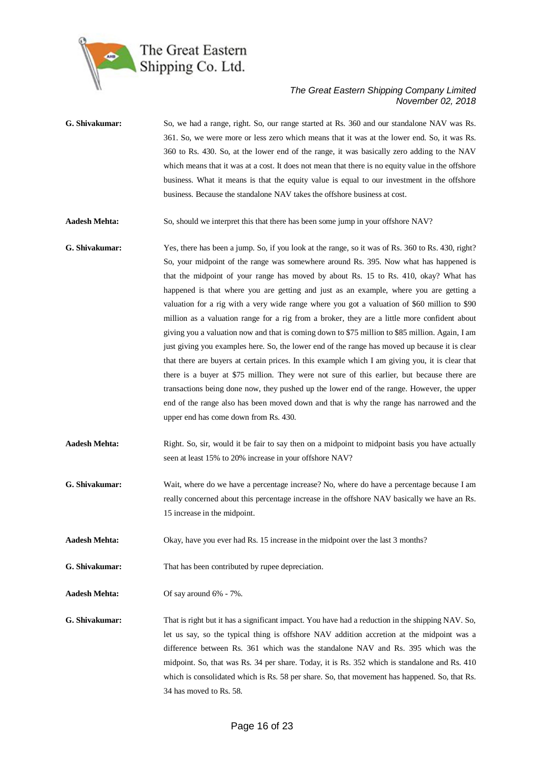

- **G. Shivakumar:** So, we had a range, right. So, our range started at Rs. 360 and our standalone NAV was Rs. 361. So, we were more or less zero which means that it was at the lower end. So, it was Rs. 360 to Rs. 430. So, at the lower end of the range, it was basically zero adding to the NAV which means that it was at a cost. It does not mean that there is no equity value in the offshore business. What it means is that the equity value is equal to our investment in the offshore business. Because the standalone NAV takes the offshore business at cost.
- **Aadesh Mehta:** So, should we interpret this that there has been some jump in your offshore NAV?
- **G. Shivakumar:** Yes, there has been a jump. So, if you look at the range, so it was of Rs. 360 to Rs. 430, right? So, your midpoint of the range was somewhere around Rs. 395. Now what has happened is that the midpoint of your range has moved by about Rs. 15 to Rs. 410, okay? What has happened is that where you are getting and just as an example, where you are getting a valuation for a rig with a very wide range where you got a valuation of \$60 million to \$90 million as a valuation range for a rig from a broker, they are a little more confident about giving you a valuation now and that is coming down to \$75 million to \$85 million. Again, I am just giving you examples here. So, the lower end of the range has moved up because it is clear that there are buyers at certain prices. In this example which I am giving you, it is clear that there is a buyer at \$75 million. They were not sure of this earlier, but because there are transactions being done now, they pushed up the lower end of the range. However, the upper end of the range also has been moved down and that is why the range has narrowed and the upper end has come down from Rs. 430.
- **Aadesh Mehta:** Right. So, sir, would it be fair to say then on a midpoint to midpoint basis you have actually seen at least 15% to 20% increase in your offshore NAV?
- **G. Shivakumar:** Wait, where do we have a percentage increase? No, where do have a percentage because I am really concerned about this percentage increase in the offshore NAV basically we have an Rs. 15 increase in the midpoint.

**Aadesh Mehta:** Okay, have you ever had Rs. 15 increase in the midpoint over the last 3 months?

**G. Shivakumar:** That has been contributed by rupee depreciation.

**Aadesh Mehta:** Of say around 6% - 7%.

**G. Shivakumar:** That is right but it has a significant impact. You have had a reduction in the shipping NAV. So, let us say, so the typical thing is offshore NAV addition accretion at the midpoint was a difference between Rs. 361 which was the standalone NAV and Rs. 395 which was the midpoint. So, that was Rs. 34 per share. Today, it is Rs. 352 which is standalone and Rs. 410 which is consolidated which is Rs. 58 per share. So, that movement has happened. So, that Rs. 34 has moved to Rs. 58.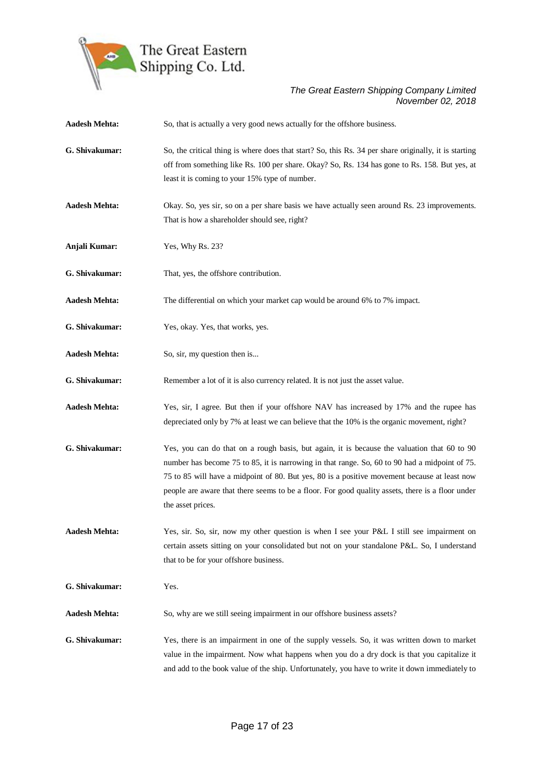

| <b>Aadesh Mehta:</b> | So, that is actually a very good news actually for the offshore business.                                                                                                                                                                                                                                                                                                                                             |
|----------------------|-----------------------------------------------------------------------------------------------------------------------------------------------------------------------------------------------------------------------------------------------------------------------------------------------------------------------------------------------------------------------------------------------------------------------|
| G. Shivakumar:       | So, the critical thing is where does that start? So, this Rs. 34 per share originally, it is starting<br>off from something like Rs. 100 per share. Okay? So, Rs. 134 has gone to Rs. 158. But yes, at<br>least it is coming to your 15% type of number.                                                                                                                                                              |
| <b>Aadesh Mehta:</b> | Okay. So, yes sir, so on a per share basis we have actually seen around Rs. 23 improvements.<br>That is how a shareholder should see, right?                                                                                                                                                                                                                                                                          |
| Anjali Kumar:        | Yes, Why Rs. 23?                                                                                                                                                                                                                                                                                                                                                                                                      |
| G. Shivakumar:       | That, yes, the offshore contribution.                                                                                                                                                                                                                                                                                                                                                                                 |
| <b>Aadesh Mehta:</b> | The differential on which your market cap would be around 6% to 7% impact.                                                                                                                                                                                                                                                                                                                                            |
| G. Shivakumar:       | Yes, okay. Yes, that works, yes.                                                                                                                                                                                                                                                                                                                                                                                      |
| <b>Aadesh Mehta:</b> | So, sir, my question then is                                                                                                                                                                                                                                                                                                                                                                                          |
| G. Shivakumar:       | Remember a lot of it is also currency related. It is not just the asset value.                                                                                                                                                                                                                                                                                                                                        |
| <b>Aadesh Mehta:</b> | Yes, sir, I agree. But then if your offshore NAV has increased by 17% and the rupee has<br>depreciated only by 7% at least we can believe that the 10% is the organic movement, right?                                                                                                                                                                                                                                |
| G. Shivakumar:       | Yes, you can do that on a rough basis, but again, it is because the valuation that 60 to 90<br>number has become 75 to 85, it is narrowing in that range. So, 60 to 90 had a midpoint of 75.<br>75 to 85 will have a midpoint of 80. But yes, 80 is a positive movement because at least now<br>people are aware that there seems to be a floor. For good quality assets, there is a floor under<br>the asset prices. |
| <b>Aadesh Mehta:</b> | Yes, sir. So, sir, now my other question is when I see your P&L I still see impairment on<br>certain assets sitting on your consolidated but not on your standalone P&L. So, I understand<br>that to be for your offshore business.                                                                                                                                                                                   |
| G. Shivakumar:       | Yes.                                                                                                                                                                                                                                                                                                                                                                                                                  |
| <b>Aadesh Mehta:</b> | So, why are we still seeing impairment in our offshore business assets?                                                                                                                                                                                                                                                                                                                                               |
| G. Shivakumar:       | Yes, there is an impairment in one of the supply vessels. So, it was written down to market<br>value in the impairment. Now what happens when you do a dry dock is that you capitalize it<br>and add to the book value of the ship. Unfortunately, you have to write it down immediately to                                                                                                                           |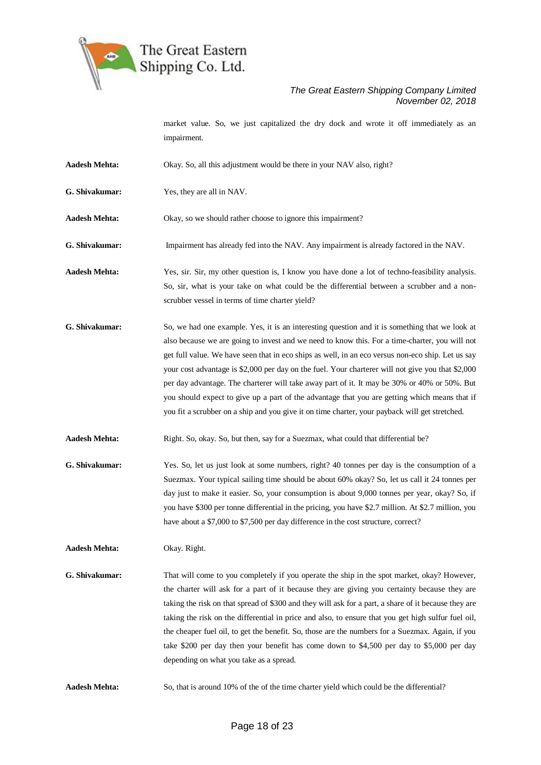

market value. So, we just capitalized the dry dock and wrote it off immediately as an impairment.

- **Aadesh Mehta:** Okay. So, all this adjustment would be there in your NAV also, right?
- **G. Shivakumar:** Yes, they are all in NAV.
- **Aadesh Mehta:** Okay, so we should rather choose to ignore this impairment?
- **G. Shivakumar:** Impairment has already fed into the NAV. Any impairment is already factored in the NAV.
- **Aadesh Mehta:** Yes, sir. Sir, my other question is, I know you have done a lot of techno-feasibility analysis. So, sir, what is your take on what could be the differential between a scrubber and a nonscrubber vessel in terms of time charter yield?
- **G. Shivakumar:** So, we had one example. Yes, it is an interesting question and it is something that we look at also because we are going to invest and we need to know this. For a time-charter, you will not get full value. We have seen that in eco ships as well, in an eco versus non-eco ship. Let us say your cost advantage is \$2,000 per day on the fuel. Your charterer will not give you that \$2,000 per day advantage. The charterer will take away part of it. It may be 30% or 40% or 50%. But you should expect to give up a part of the advantage that you are getting which means that if you fit a scrubber on a ship and you give it on time charter, your payback will get stretched.
- **Aadesh Mehta:** Right. So, okay. So, but then, say for a Suezmax, what could that differential be?
- **G. Shivakumar:** Yes. So, let us just look at some numbers, right? 40 tonnes per day is the consumption of a Suezmax. Your typical sailing time should be about 60% okay? So, let us call it 24 tonnes per day just to make it easier. So, your consumption is about 9,000 tonnes per year, okay? So, if you have \$300 per tonne differential in the pricing, you have \$2.7 million. At \$2.7 million, you have about a \$7,000 to \$7,500 per day difference in the cost structure, correct?

**Aadesh Mehta:** Okay. Right.

- **G. Shivakumar:** That will come to you completely if you operate the ship in the spot market, okay? However, the charter will ask for a part of it because they are giving you certainty because they are taking the risk on that spread of \$300 and they will ask for a part, a share of it because they are taking the risk on the differential in price and also, to ensure that you get high sulfur fuel oil, the cheaper fuel oil, to get the benefit. So, those are the numbers for a Suezmax. Again, if you take \$200 per day then your benefit has come down to \$4,500 per day to \$5,000 per day depending on what you take as a spread.
- Aadesh Mehta: So, that is around 10% of the of the time charter yield which could be the differential?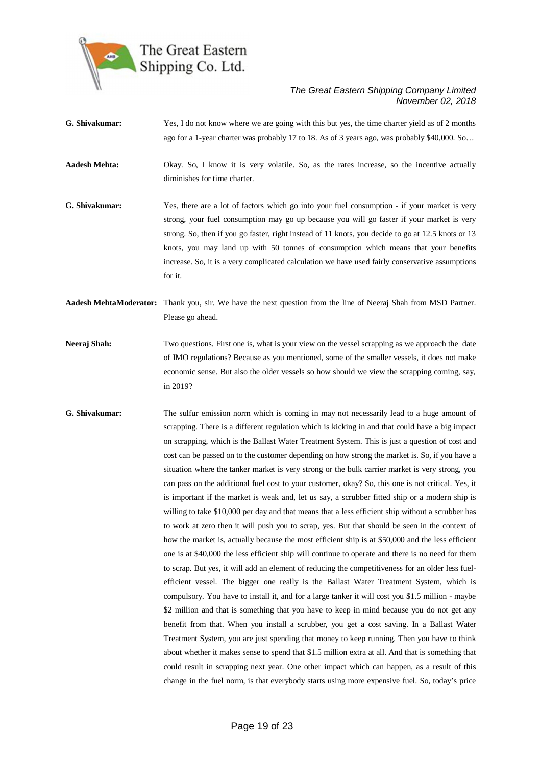

**G. Shivakumar:** Yes, I do not know where we are going with this but yes, the time charter yield as of 2 months ago for a 1-year charter was probably 17 to 18. As of 3 years ago, was probably \$40,000. So…

**Aadesh Mehta:** Okay. So, I know it is very volatile. So, as the rates increase, so the incentive actually diminishes for time charter.

**G. Shivakumar:** Yes, there are a lot of factors which go into your fuel consumption - if your market is very strong, your fuel consumption may go up because you will go faster if your market is very strong. So, then if you go faster, right instead of 11 knots, you decide to go at 12.5 knots or 13 knots, you may land up with 50 tonnes of consumption which means that your benefits increase. So, it is a very complicated calculation we have used fairly conservative assumptions for it.

**Aadesh MehtaModerator:** Thank you, sir. We have the next question from the line of Neeraj Shah from MSD Partner. Please go ahead.

- **Neeraj Shah:** Two questions. First one is, what is your view on the vessel scrapping as we approach the date of IMO regulations? Because as you mentioned, some of the smaller vessels, it does not make economic sense. But also the older vessels so how should we view the scrapping coming, say, in 2019?
- **G. Shivakumar:** The sulfur emission norm which is coming in may not necessarily lead to a huge amount of scrapping. There is a different regulation which is kicking in and that could have a big impact on scrapping, which is the Ballast Water Treatment System. This is just a question of cost and cost can be passed on to the customer depending on how strong the market is. So, if you have a situation where the tanker market is very strong or the bulk carrier market is very strong, you can pass on the additional fuel cost to your customer, okay? So, this one is not critical. Yes, it is important if the market is weak and, let us say, a scrubber fitted ship or a modern ship is willing to take \$10,000 per day and that means that a less efficient ship without a scrubber has to work at zero then it will push you to scrap, yes. But that should be seen in the context of how the market is, actually because the most efficient ship is at \$50,000 and the less efficient one is at \$40,000 the less efficient ship will continue to operate and there is no need for them to scrap. But yes, it will add an element of reducing the competitiveness for an older less fuelefficient vessel. The bigger one really is the Ballast Water Treatment System, which is compulsory. You have to install it, and for a large tanker it will cost you \$1.5 million - maybe \$2 million and that is something that you have to keep in mind because you do not get any benefit from that. When you install a scrubber, you get a cost saving. In a Ballast Water Treatment System, you are just spending that money to keep running. Then you have to think about whether it makes sense to spend that \$1.5 million extra at all. And that is something that could result in scrapping next year. One other impact which can happen, as a result of this change in the fuel norm, is that everybody starts using more expensive fuel. So, today's price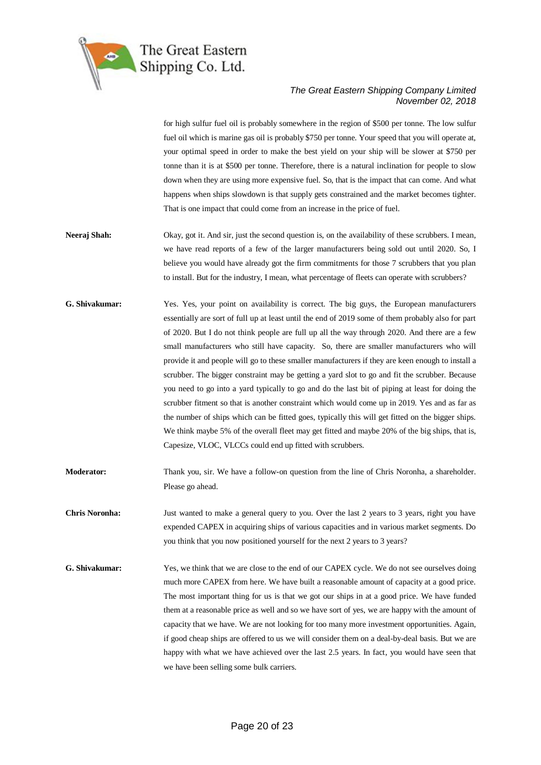

for high sulfur fuel oil is probably somewhere in the region of \$500 per tonne. The low sulfur fuel oil which is marine gas oil is probably \$750 per tonne. Your speed that you will operate at, your optimal speed in order to make the best yield on your ship will be slower at \$750 per tonne than it is at \$500 per tonne. Therefore, there is a natural inclination for people to slow down when they are using more expensive fuel. So, that is the impact that can come. And what happens when ships slowdown is that supply gets constrained and the market becomes tighter. That is one impact that could come from an increase in the price of fuel.

- **Neeraj Shah:** Okay, got it. And sir, just the second question is, on the availability of these scrubbers. I mean, we have read reports of a few of the larger manufacturers being sold out until 2020. So, I believe you would have already got the firm commitments for those 7 scrubbers that you plan to install. But for the industry, I mean, what percentage of fleets can operate with scrubbers?
- **G. Shivakumar:** Yes. Yes, your point on availability is correct. The big guys, the European manufacturers essentially are sort of full up at least until the end of 2019 some of them probably also for part of 2020. But I do not think people are full up all the way through 2020. And there are a few small manufacturers who still have capacity. So, there are smaller manufacturers who will provide it and people will go to these smaller manufacturers if they are keen enough to install a scrubber. The bigger constraint may be getting a yard slot to go and fit the scrubber. Because you need to go into a yard typically to go and do the last bit of piping at least for doing the scrubber fitment so that is another constraint which would come up in 2019. Yes and as far as the number of ships which can be fitted goes, typically this will get fitted on the bigger ships. We think maybe 5% of the overall fleet may get fitted and maybe 20% of the big ships, that is, Capesize, VLOC, VLCCs could end up fitted with scrubbers.
- **Moderator:** Thank you, sir. We have a follow-on question from the line of Chris Noronha, a shareholder. Please go ahead.
- **Chris Noronha:** Just wanted to make a general query to you. Over the last 2 years to 3 years, right you have expended CAPEX in acquiring ships of various capacities and in various market segments. Do you think that you now positioned yourself for the next 2 years to 3 years?
- **G. Shivakumar:** Yes, we think that we are close to the end of our CAPEX cycle. We do not see ourselves doing much more CAPEX from here. We have built a reasonable amount of capacity at a good price. The most important thing for us is that we got our ships in at a good price. We have funded them at a reasonable price as well and so we have sort of yes, we are happy with the amount of capacity that we have. We are not looking for too many more investment opportunities. Again, if good cheap ships are offered to us we will consider them on a deal-by-deal basis. But we are happy with what we have achieved over the last 2.5 years. In fact, you would have seen that we have been selling some bulk carriers.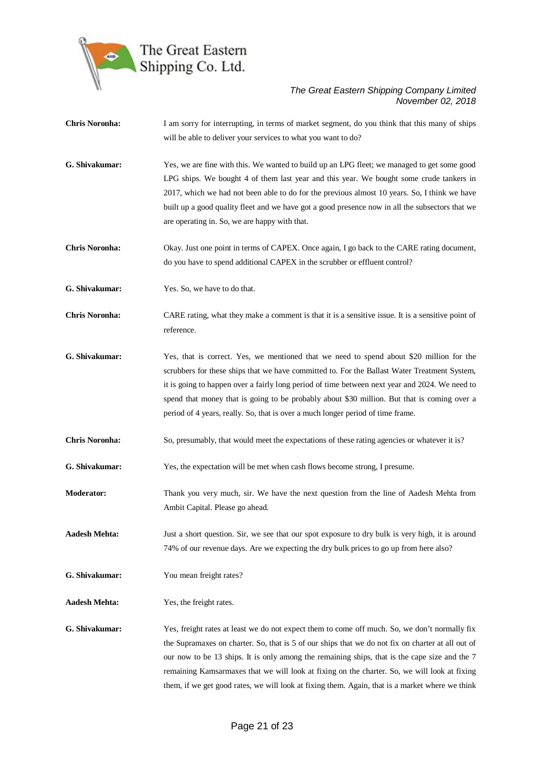

| <b>Chris Noronha:</b> | I am sorry for interrupting, in terms of market segment, do you think that this many of ships<br>will be able to deliver your services to what you want to do?                                                                                                                                                                                                                                                                                                                                         |
|-----------------------|--------------------------------------------------------------------------------------------------------------------------------------------------------------------------------------------------------------------------------------------------------------------------------------------------------------------------------------------------------------------------------------------------------------------------------------------------------------------------------------------------------|
| G. Shivakumar:        | Yes, we are fine with this. We wanted to build up an LPG fleet; we managed to get some good<br>LPG ships. We bought 4 of them last year and this year. We bought some crude tankers in<br>2017, which we had not been able to do for the previous almost 10 years. So, I think we have<br>built up a good quality fleet and we have got a good presence now in all the subsectors that we<br>are operating in. So, we are happy with that.                                                             |
| <b>Chris Noronha:</b> | Okay. Just one point in terms of CAPEX. Once again, I go back to the CARE rating document,<br>do you have to spend additional CAPEX in the scrubber or effluent control?                                                                                                                                                                                                                                                                                                                               |
| G. Shivakumar:        | Yes. So, we have to do that.                                                                                                                                                                                                                                                                                                                                                                                                                                                                           |
| <b>Chris Noronha:</b> | CARE rating, what they make a comment is that it is a sensitive issue. It is a sensitive point of<br>reference.                                                                                                                                                                                                                                                                                                                                                                                        |
| G. Shivakumar:        | Yes, that is correct. Yes, we mentioned that we need to spend about \$20 million for the<br>scrubbers for these ships that we have committed to. For the Ballast Water Treatment System,<br>it is going to happen over a fairly long period of time between next year and 2024. We need to<br>spend that money that is going to be probably about \$30 million. But that is coming over a<br>period of 4 years, really. So, that is over a much longer period of time frame.                           |
| <b>Chris Noronha:</b> | So, presumably, that would meet the expectations of these rating agencies or whatever it is?                                                                                                                                                                                                                                                                                                                                                                                                           |
| G. Shivakumar:        | Yes, the expectation will be met when cash flows become strong, I presume.                                                                                                                                                                                                                                                                                                                                                                                                                             |
| <b>Moderator:</b>     | Thank you very much, sir. We have the next question from the line of Aadesh Mehta from<br>Ambit Capital. Please go ahead.                                                                                                                                                                                                                                                                                                                                                                              |
| <b>Aadesh Mehta:</b>  | Just a short question. Sir, we see that our spot exposure to dry bulk is very high, it is around<br>74% of our revenue days. Are we expecting the dry bulk prices to go up from here also?                                                                                                                                                                                                                                                                                                             |
| G. Shivakumar:        | You mean freight rates?                                                                                                                                                                                                                                                                                                                                                                                                                                                                                |
| <b>Aadesh Mehta:</b>  | Yes, the freight rates.                                                                                                                                                                                                                                                                                                                                                                                                                                                                                |
| G. Shivakumar:        | Yes, freight rates at least we do not expect them to come off much. So, we don't normally fix<br>the Supramaxes on charter. So, that is 5 of our ships that we do not fix on charter at all out of<br>our now to be 13 ships. It is only among the remaining ships, that is the cape size and the 7<br>remaining Kamsarmaxes that we will look at fixing on the charter. So, we will look at fixing<br>them, if we get good rates, we will look at fixing them. Again, that is a market where we think |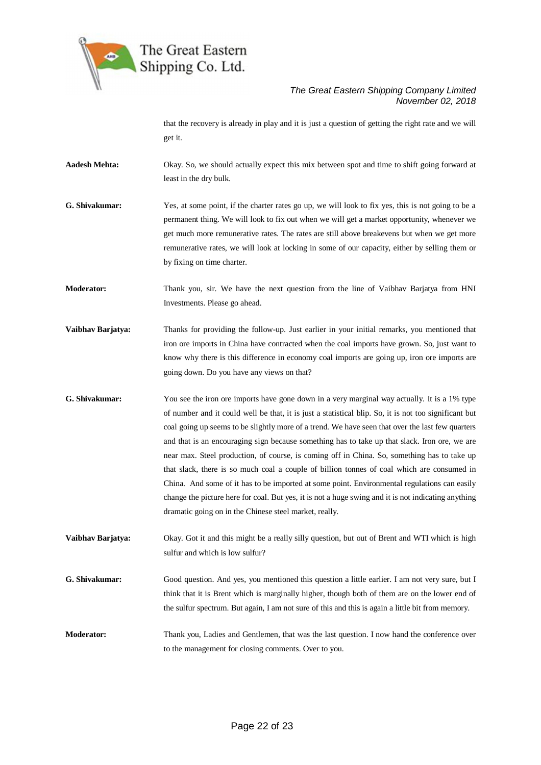

that the recovery is already in play and it is just a question of getting the right rate and we will get it.

- **Aadesh Mehta:** Okay. So, we should actually expect this mix between spot and time to shift going forward at least in the dry bulk.
- **G. Shivakumar:** Yes, at some point, if the charter rates go up, we will look to fix yes, this is not going to be a permanent thing. We will look to fix out when we will get a market opportunity, whenever we get much more remunerative rates. The rates are still above breakevens but when we get more remunerative rates, we will look at locking in some of our capacity, either by selling them or by fixing on time charter.

**Moderator:** Thank you, sir. We have the next question from the line of Vaibhav Barjatya from HNI Investments. Please go ahead.

- **Vaibhav Barjatya:** Thanks for providing the follow-up. Just earlier in your initial remarks, you mentioned that iron ore imports in China have contracted when the coal imports have grown. So, just want to know why there is this difference in economy coal imports are going up, iron ore imports are going down. Do you have any views on that?
- **G. Shivakumar:** You see the iron ore imports have gone down in a very marginal way actually. It is a 1% type of number and it could well be that, it is just a statistical blip. So, it is not too significant but coal going up seems to be slightly more of a trend. We have seen that over the last few quarters and that is an encouraging sign because something has to take up that slack. Iron ore, we are near max. Steel production, of course, is coming off in China. So, something has to take up that slack, there is so much coal a couple of billion tonnes of coal which are consumed in China. And some of it has to be imported at some point. Environmental regulations can easily change the picture here for coal. But yes, it is not a huge swing and it is not indicating anything dramatic going on in the Chinese steel market, really.

**Vaibhav Barjatya:** Okay. Got it and this might be a really silly question, but out of Brent and WTI which is high sulfur and which is low sulfur?

- **G. Shivakumar:** Good question. And yes, you mentioned this question a little earlier. I am not very sure, but I think that it is Brent which is marginally higher, though both of them are on the lower end of the sulfur spectrum. But again, I am not sure of this and this is again a little bit from memory.
- **Moderator:** Thank you, Ladies and Gentlemen, that was the last question. I now hand the conference over to the management for closing comments. Over to you.